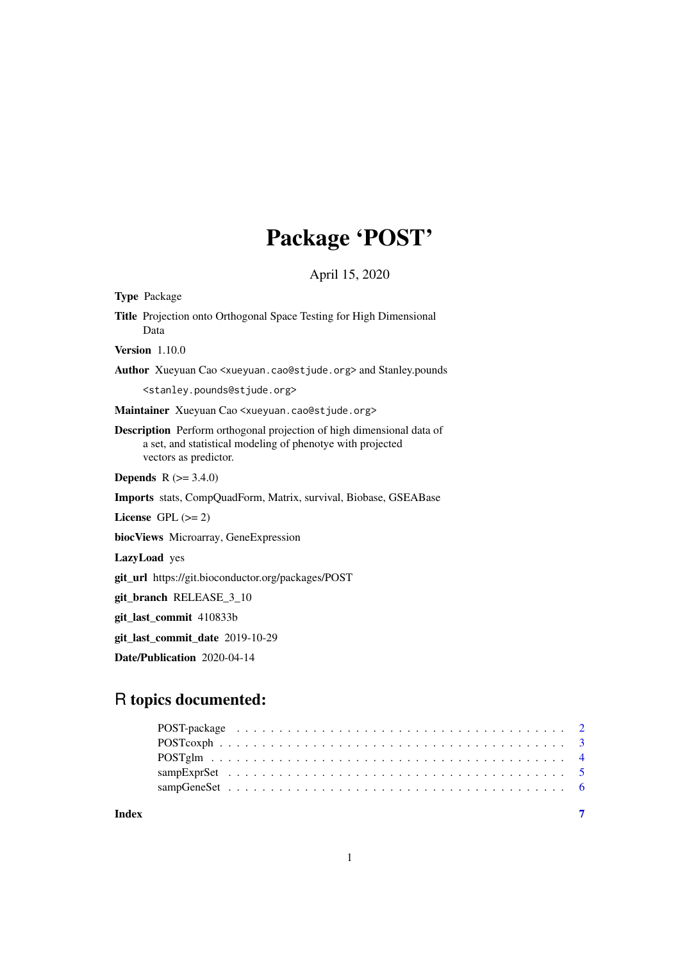## Package 'POST'

April 15, 2020

Type Package

Title Projection onto Orthogonal Space Testing for High Dimensional Data

Version 1.10.0

Author Xueyuan Cao <xueyuan.cao@stjude.org> and Stanley.pounds

<stanley.pounds@stjude.org>

Maintainer Xueyuan Cao <xueyuan.cao@stjude.org>

Description Perform orthogonal projection of high dimensional data of a set, and statistical modeling of phenotye with projected vectors as predictor.

**Depends**  $R (= 3.4.0)$ 

Imports stats, CompQuadForm, Matrix, survival, Biobase, GSEABase

License GPL  $(>= 2)$ 

biocViews Microarray, GeneExpression

LazyLoad yes

git\_url https://git.bioconductor.org/packages/POST

git\_branch RELEASE\_3\_10

git\_last\_commit 410833b

git\_last\_commit\_date 2019-10-29

Date/Publication 2020-04-14

### R topics documented:

**Index** [7](#page-6-0)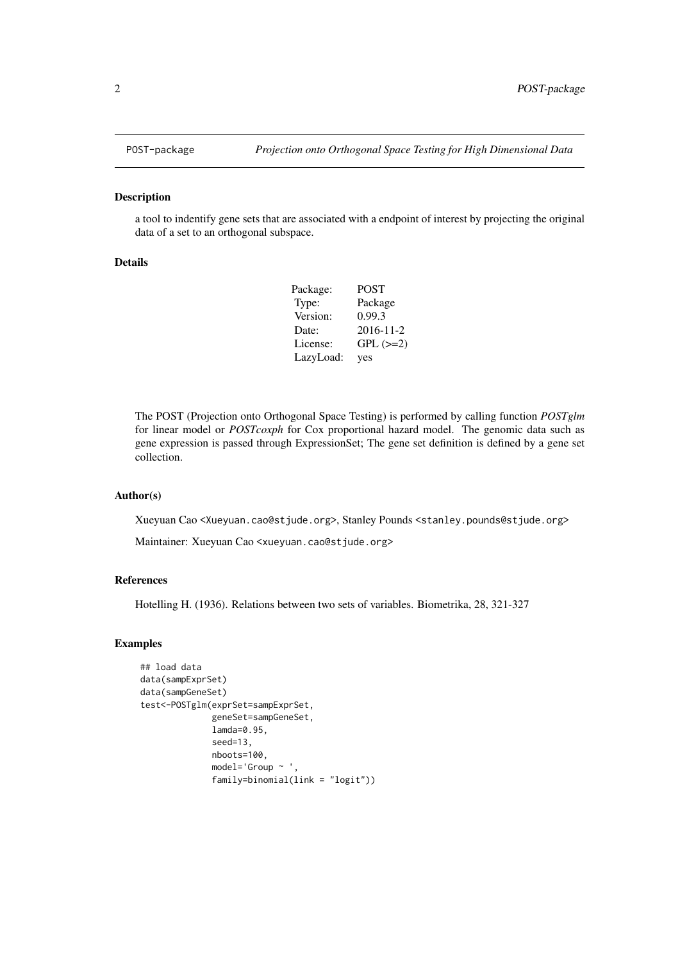#### Description

a tool to indentify gene sets that are associated with a endpoint of interest by projecting the original data of a set to an orthogonal subspace.

#### Details

| Package:  | <b>POST</b> |
|-----------|-------------|
| Type:     | Package     |
| Version:  | 0.99.3      |
| Date:     | 2016-11-2   |
| License:  | $GPL (=2)$  |
| LazyLoad: | yes         |

The POST (Projection onto Orthogonal Space Testing) is performed by calling function *POSTglm* for linear model or *POSTcoxph* for Cox proportional hazard model. The genomic data such as gene expression is passed through ExpressionSet; The gene set definition is defined by a gene set collection.

#### Author(s)

Xueyuan Cao <Xueyuan.cao@stjude.org>, Stanley Pounds <stanley.pounds@stjude.org>

Maintainer: Xueyuan Cao <xueyuan.cao@stjude.org>

#### References

Hotelling H. (1936). Relations between two sets of variables. Biometrika, 28, 321-327

#### Examples

```
## load data
data(sampExprSet)
data(sampGeneSet)
test<-POSTglm(exprSet=sampExprSet,
              geneSet=sampGeneSet,
              lamda=0.95,
              seed=13,
              nboots=100,
              model='Group ~ ',
              family=binomial(link = "logit"))
```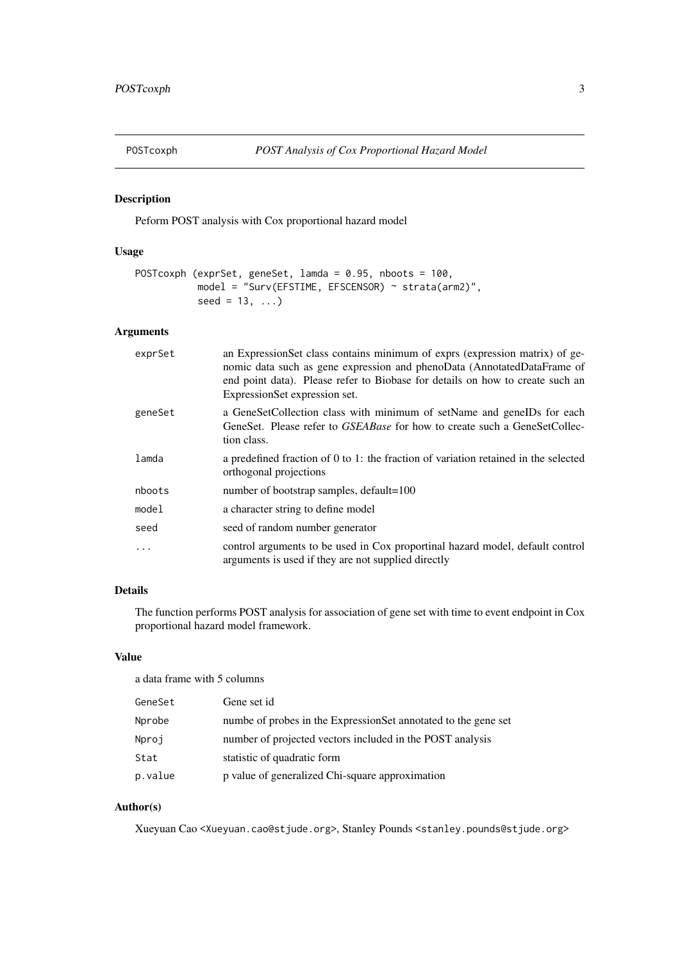<span id="page-2-0"></span>

#### Description

Peform POST analysis with Cox proportional hazard model

#### Usage

```
POSTcoxph (exprSet, geneSet, lamda = 0.95, nboots = 100,
           model = "Surv(EFSTIME, EFSCENSOR) ~ strata(arm2)",
           seed = 13, ...)
```
#### Arguments

| exprSet | an ExpressionSet class contains minimum of exprs (expression matrix) of ge-<br>nomic data such as gene expression and phenoData (AnnotatedDataFrame of<br>end point data). Please refer to Biobase for details on how to create such an<br>ExpressionSet expression set. |
|---------|--------------------------------------------------------------------------------------------------------------------------------------------------------------------------------------------------------------------------------------------------------------------------|
| geneSet | a GeneSetCollection class with minimum of setName and geneIDs for each<br>GeneSet. Please refer to <i>GSEABase</i> for how to create such a GeneSetCollec-<br>tion class.                                                                                                |
| lamda   | a predefined fraction of 0 to 1: the fraction of variation retained in the selected<br>orthogonal projections                                                                                                                                                            |
| nboots  | number of bootstrap samples, default=100                                                                                                                                                                                                                                 |
| mode1   | a character string to define model                                                                                                                                                                                                                                       |
| seed    | seed of random number generator                                                                                                                                                                                                                                          |
| .       | control arguments to be used in Cox proportinal hazard model, default control<br>arguments is used if they are not supplied directly                                                                                                                                     |

#### Details

The function performs POST analysis for association of gene set with time to event endpoint in Cox proportional hazard model framework.

#### Value

a data frame with 5 columns

| GeneSet | Gene set id                                                    |
|---------|----------------------------------------------------------------|
| Nprobe  | numbe of probes in the ExpressionSet annotated to the gene set |
| Nproj   | number of projected vectors included in the POST analysis      |
| Stat    | statistic of quadratic form                                    |
| p.value | p value of generalized Chi-square approximation                |

#### Author(s)

Xueyuan Cao <Xueyuan.cao@stjude.org>, Stanley Pounds <stanley.pounds@stjude.org>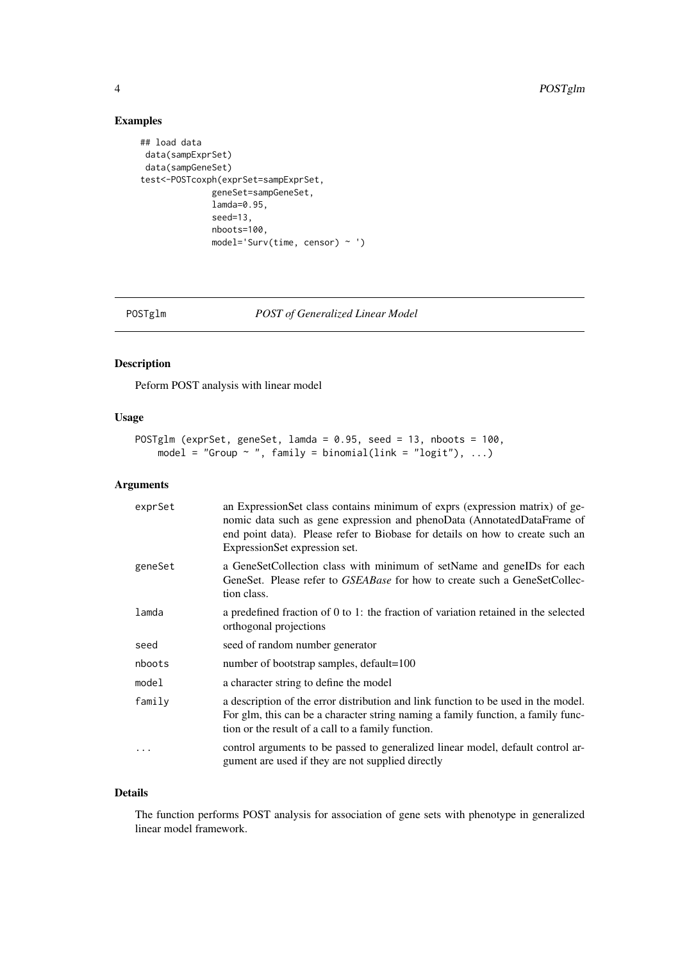#### Examples

```
## load data
data(sampExprSet)
data(sampGeneSet)
test<-POSTcoxph(exprSet=sampExprSet,
              geneSet=sampGeneSet,
              lamda=0.95,
              seed=13,
              nboots=100,
              model='Surv(time, censor) ~ ')
```
POSTglm *POST of Generalized Linear Model*

#### Description

Peform POST analysis with linear model

#### Usage

```
POSTglm (exprSet, geneSet, lamda = 0.95, seed = 13, nboots = 100,
    model = "Group \sim ", family = binomial(link = "logit"), ...)
```
#### Arguments

| exprSet | an ExpressionSet class contains minimum of exprs (expression matrix) of ge-<br>nomic data such as gene expression and phenoData (AnnotatedDataFrame of<br>end point data). Please refer to Biobase for details on how to create such an<br>ExpressionSet expression set. |
|---------|--------------------------------------------------------------------------------------------------------------------------------------------------------------------------------------------------------------------------------------------------------------------------|
| geneSet | a GeneSetCollection class with minimum of setName and geneIDs for each<br>GeneSet. Please refer to GSEABase for how to create such a GeneSetCollec-<br>tion class.                                                                                                       |
| lamda   | a predefined fraction of 0 to 1: the fraction of variation retained in the selected<br>orthogonal projections                                                                                                                                                            |
| seed    | seed of random number generator                                                                                                                                                                                                                                          |
| nboots  | number of bootstrap samples, default=100                                                                                                                                                                                                                                 |
| model   | a character string to define the model                                                                                                                                                                                                                                   |
| family  | a description of the error distribution and link function to be used in the model.<br>For glm, this can be a character string naming a family function, a family func-<br>tion or the result of a call to a family function.                                             |
| .       | control arguments to be passed to generalized linear model, default control ar-<br>gument are used if they are not supplied directly                                                                                                                                     |

#### Details

The function performs POST analysis for association of gene sets with phenotype in generalized linear model framework.

<span id="page-3-0"></span>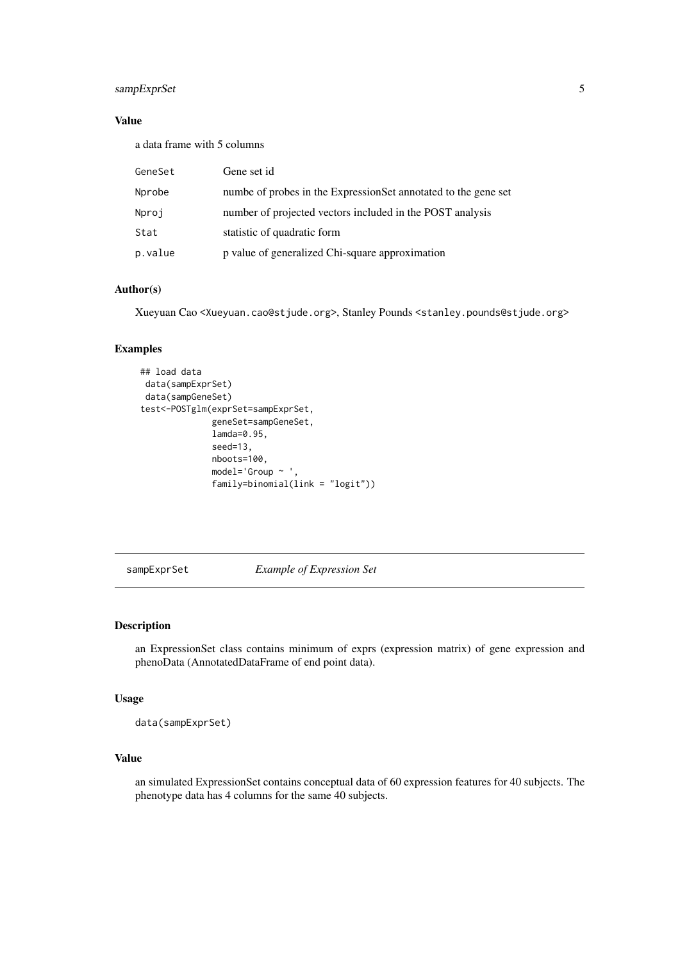#### <span id="page-4-0"></span>sampExprSet 5

#### Value

a data frame with 5 columns

| GeneSet | Gene set id                                                    |
|---------|----------------------------------------------------------------|
| Nprobe  | numbe of probes in the ExpressionSet annotated to the gene set |
| Nproj   | number of projected vectors included in the POST analysis      |
| Stat    | statistic of quadratic form                                    |
| p.value | p value of generalized Chi-square approximation                |

#### Author(s)

Xueyuan Cao <Xueyuan.cao@stjude.org>, Stanley Pounds <stanley.pounds@stjude.org>

#### Examples

```
## load data
data(sampExprSet)
data(sampGeneSet)
test<-POSTglm(exprSet=sampExprSet,
              geneSet=sampGeneSet,
              lamda=0.95,
              seed=13,
              nboots=100,
              model='Group ~ ',
              family=binomial(link = "logit"))
```
sampExprSet *Example of Expression Set*

#### Description

an ExpressionSet class contains minimum of exprs (expression matrix) of gene expression and phenoData (AnnotatedDataFrame of end point data).

#### Usage

```
data(sampExprSet)
```
#### Value

an simulated ExpressionSet contains conceptual data of 60 expression features for 40 subjects. The phenotype data has 4 columns for the same 40 subjects.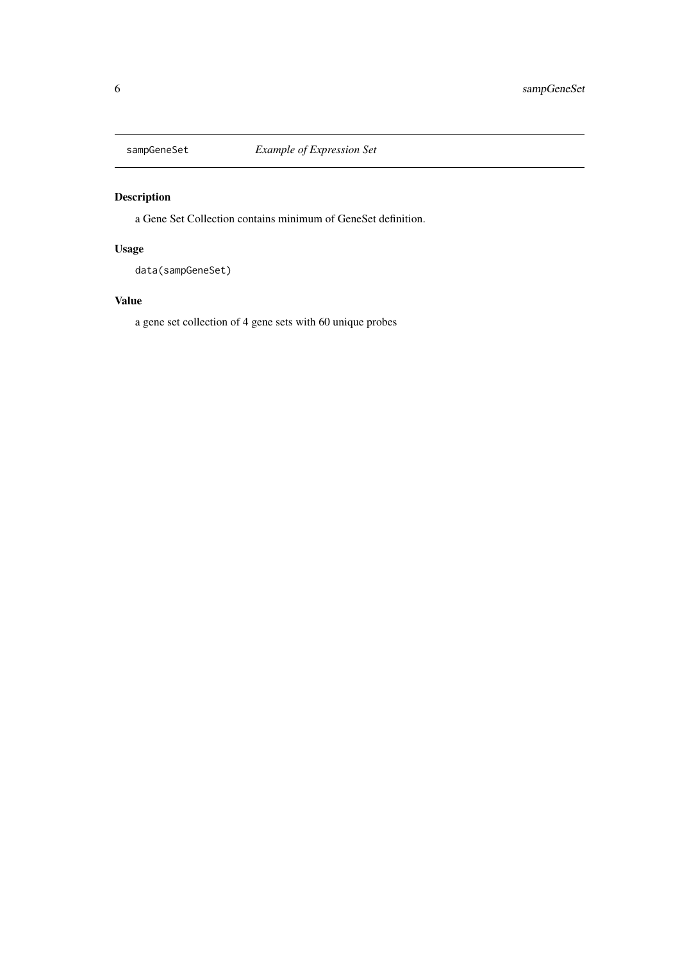<span id="page-5-0"></span>

#### Description

a Gene Set Collection contains minimum of GeneSet definition.

#### Usage

data(sampGeneSet)

#### Value

a gene set collection of 4 gene sets with 60 unique probes